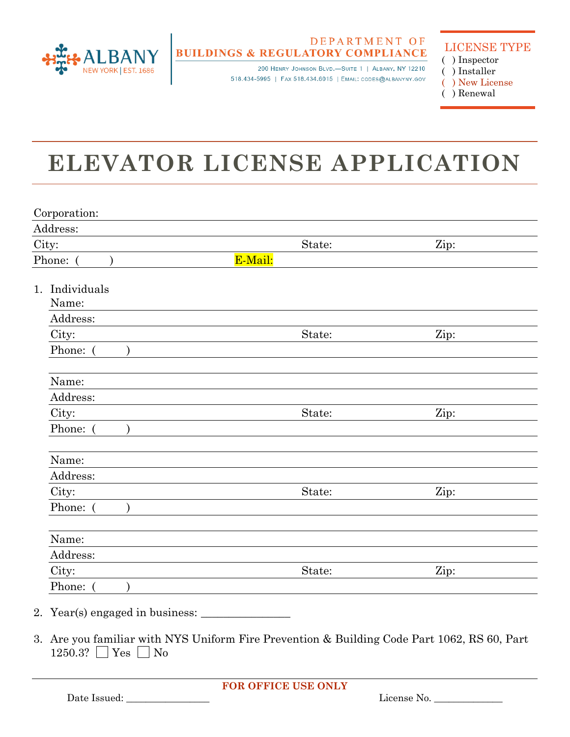

## DEPARTMENT OF **BUILDINGS & REGULATORY COMPLIANCE**

200 HENRY JOHNSON BLVD.-SUITE 1 | ALBANY, NY 12210 518.434-5995 | FAX 518.434.6015 | EMAIL: CODES@ALBANYNY.GOV

LICENSE TYPE

- ( ) Inspector ( ) Installer
- ( ) New License
- ( ) Renewal

## **ELEVATOR LICENSE APPLICATION**

| Address:              |         |      |
|-----------------------|---------|------|
| City:                 | State:  | Zip: |
| Phone: (              | E-Mail: |      |
| Individuals<br>1.     |         |      |
| Name:                 |         |      |
| Address:              |         |      |
| City:                 | State:  | Zip: |
| Phone: (<br>$\lambda$ |         |      |
| Name:                 |         |      |
| Address:              |         |      |
| City:                 | State:  | Zip: |
| Phone: (              |         |      |
| Name:                 |         |      |
| Address:              |         |      |
| City:                 | State:  | Zip: |
| Phone: (              |         |      |
| Name:                 |         |      |
| Address:              |         |      |
| City:                 | State:  | Zip: |
| Phone: (              |         |      |

 $1250.3$ ?  $\Box$  Yes  $\Box$  No